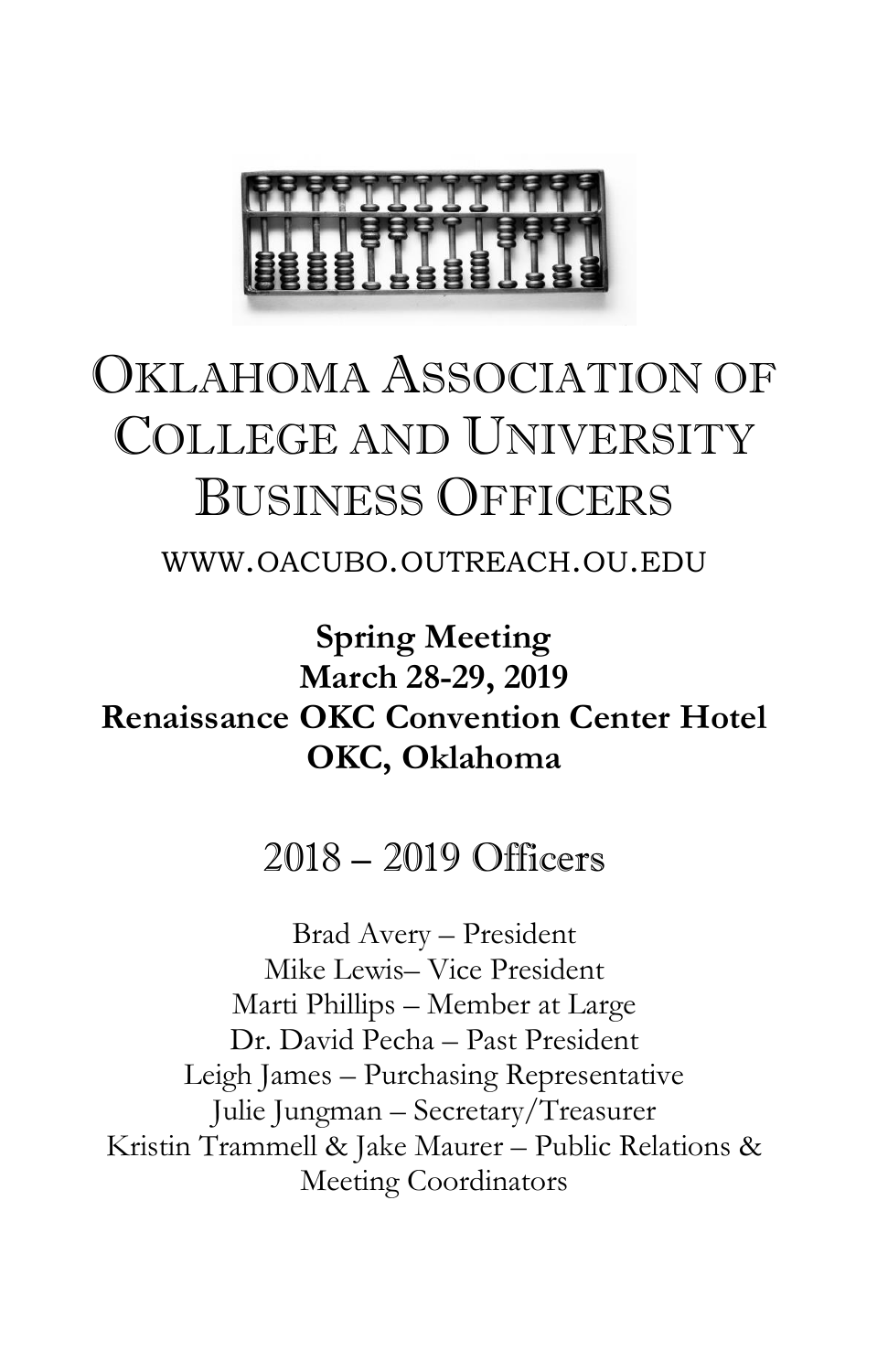

## OKLAHOMA ASSOCIATION OF COLLEGE AND UNIVERSITY BUSINESS OFFICERS

WWW.OACUBO.OUTREACH.OU.EDU

**Spring Meeting March 28-29, 2019 Renaissance OKC Convention Center Hotel OKC, Oklahoma** 

2018 – 2019 Officers

Brad Avery – President Mike Lewis– Vice President Marti Phillips – Member at Large Dr. David Pecha – Past President Leigh James – Purchasing Representative Julie Jungman – Secretary/Treasurer Kristin Trammell & Jake Maurer – Public Relations & Meeting Coordinators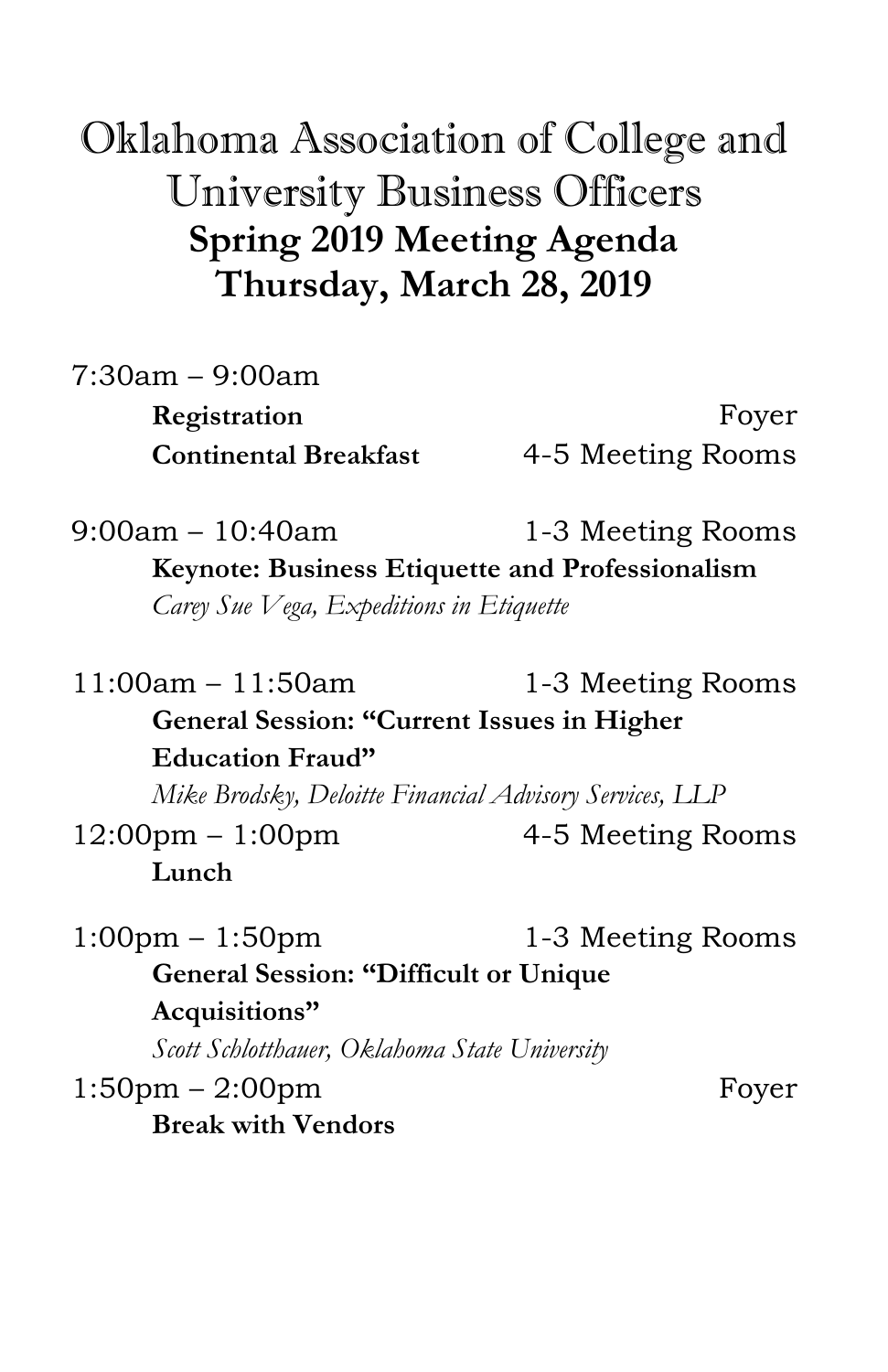## Oklahoma Association of College and University Business Officers **Spring 2019 Meeting Agenda Thursday, March 28, 2019**

| $7:30am - 9:00am$            |                   |
|------------------------------|-------------------|
| Registration                 | Foyer             |
| <b>Continental Breakfast</b> | 4-5 Meeting Rooms |

9:00am – 10:40am 1-3 Meeting Rooms **Keynote: Business Etiquette and Professionalism** *Carey Sue Vega, Expeditions in Etiquette*

11:00am – 11:50am 1-3 Meeting Rooms **General Session: "Current Issues in Higher Education Fraud"**

*Mike Brodsky, Deloitte Financial Advisory Services, LLP* 

 $12:00 \text{pm} - 1:00 \text{pm}$  4-5 Meeting Rooms **Lunch**

 $1:00 \text{pm} - 1:50 \text{pm}$  1-3 Meeting Rooms **General Session: "Difficult or Unique Acquisitions"**

*Scott Schlotthauer, Oklahoma State University* 

 $1:50 \text{pm} - 2:00 \text{pm}$  Foyer **Break with Vendors**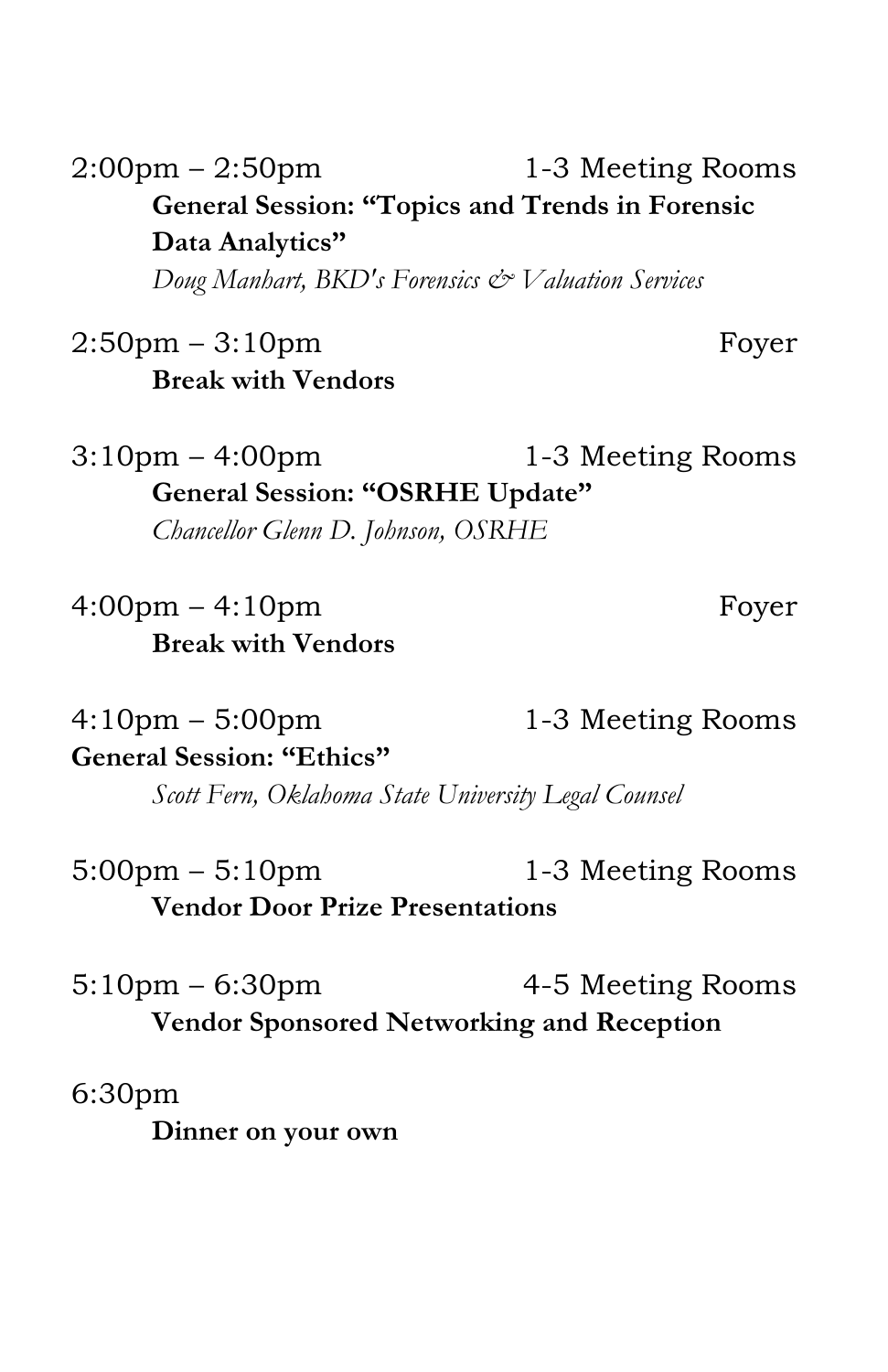2:00pm – 2:50pm 1-3 Meeting Rooms **General Session: "Topics and Trends in Forensic Data Analytics"**

*Doug Manhart, BKD's Forensics & Valuation Services*

2:50pm – 3:10pm – Foyer **Break with Vendors**

 $3:10 \text{pm} - 4:00 \text{pm}$  1-3 Meeting Rooms **General Session: "OSRHE Update"** *Chancellor Glenn D. Johnson, OSRHE*

4:00pm – 4:10pm Foyer **Break with Vendors**

 $4:10 \text{pm} - 5:00 \text{pm}$  1-3 Meeting Rooms **General Session: "Ethics"**

*Scott Fern, Oklahoma State University Legal Counsel*

 $5:00 \text{pm} - 5:10 \text{pm}$  1-3 Meeting Rooms **Vendor Door Prize Presentations**

5:10pm – 6:30pm – 4-5 Meeting Rooms **Vendor Sponsored Networking and Reception**

6:30pm

**Dinner on your own**